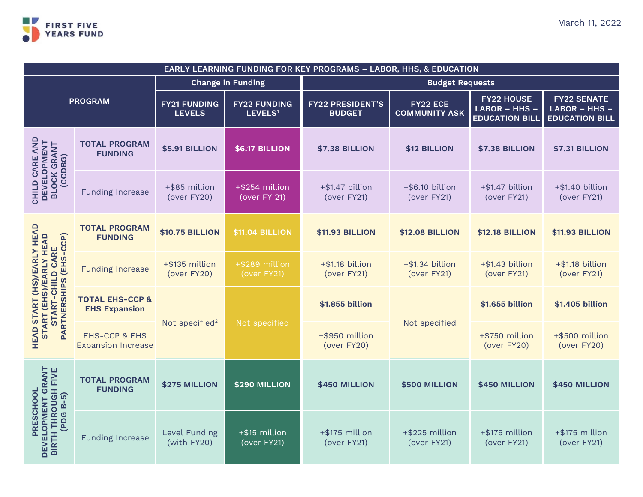

| <b>EARLY LEARNING FUNDING FOR KEY PROGRAMS - LABOR, HHS, &amp; EDUCATION</b>                                        |                                                       |                                      |                                            |                                          |                                  |                                                             |                                                              |  |
|---------------------------------------------------------------------------------------------------------------------|-------------------------------------------------------|--------------------------------------|--------------------------------------------|------------------------------------------|----------------------------------|-------------------------------------------------------------|--------------------------------------------------------------|--|
| <b>PROGRAM</b>                                                                                                      |                                                       | <b>Change in Funding</b>             |                                            | <b>Budget Requests</b>                   |                                  |                                                             |                                                              |  |
|                                                                                                                     |                                                       | <b>FY21 FUNDING</b><br><b>LEVELS</b> | <b>FY22 FUNDING</b><br>LEVELS <sup>1</sup> | <b>FY22 PRESIDENT'S</b><br><b>BUDGET</b> | FY22 ECE<br><b>COMMUNITY ASK</b> | <b>FY22 HOUSE</b><br>LABOR - HHS -<br><b>EDUCATION BILL</b> | <b>FY22 SENATE</b><br>LABOR - HHS -<br><b>EDUCATION BILL</b> |  |
| AND<br><b>DEVELOPMENT<br/>BLOCK GRANT</b><br>(CCDBG)<br>CHILD CARE                                                  | <b>TOTAL PROGRAM</b><br><b>FUNDING</b>                | <b>\$5.91 BILLION</b>                | <b>\$6.17 BILLION</b>                      | <b>\$7.38 BILLION</b>                    | \$12 BILLION                     | <b>\$7.38 BILLION</b>                                       | <b>\$7.31 BILLION</b>                                        |  |
|                                                                                                                     | <b>Funding Increase</b>                               | +\$85 million<br>(over FY20)         | +\$254 million<br>(over FY 21)             | +\$1.47 billion<br>(over FY21)           | +\$6.10 billion<br>(over FY21)   | +\$1.47 billion<br>(over FY21)                              | +\$1.40 billion<br>(over FY21)                               |  |
| (HS)/EARLY HEAD<br>START (EHS)/EARLY HEAD<br><b>PARTNERSHIPS (EHS-CCP)</b><br>START-CHILD CARE<br><b>HEAD START</b> | <b>TOTAL PROGRAM</b><br><b>FUNDING</b>                | <b>\$10.75 BILLION</b>               | <b>\$11.04 BILLION</b>                     | <b>\$11.93 BILLION</b>                   | <b>\$12.08 BILLION</b>           | <b>\$12.18 BILLION</b>                                      | <b>\$11.93 BILLION</b>                                       |  |
|                                                                                                                     | <b>Funding Increase</b>                               | +\$135 million<br>(over FY20)        | +\$289 million<br>(over FY21)              | +\$1.18 billion<br>(over FY21)           | +\$1.34 billion<br>(over FY21)   | +\$1.43 billion<br>(over FY21)                              | +\$1.18 billion<br>(over FY21)                               |  |
|                                                                                                                     | <b>TOTAL EHS-CCP &amp;</b><br><b>EHS Expansion</b>    | Not specified <sup>2</sup>           | Not specified                              | \$1.855 billion                          | Not specified                    | \$1.655 billion                                             | \$1.405 billion                                              |  |
|                                                                                                                     | <b>EHS-CCP &amp; EHS</b><br><b>Expansion Increase</b> |                                      |                                            | +\$950 million<br>(over FY20)            |                                  | +\$750 million<br>(over FY20)                               | +\$500 million<br>(over FY20)                                |  |
| DEVELOPMENT GRANT<br><b>BIRTH THROUGH FIVE</b><br>(PDG B-5)<br>PRESCHOOL                                            | <b>TOTAL PROGRAM</b><br><b>FUNDING</b>                | \$275 MILLION                        | \$290 MILLION                              | \$450 MILLION                            | \$500 MILLION                    | \$450 MILLION                                               | \$450 MILLION                                                |  |
|                                                                                                                     | <b>Funding Increase</b>                               | Level Funding<br>(with FY20)         | +\$15 million<br>(over FY21)               | +\$175 million<br>(over FY21)            | +\$225 million<br>(over FY21)    | +\$175 million<br>(over FY21)                               | +\$175 million<br>(over FY21)                                |  |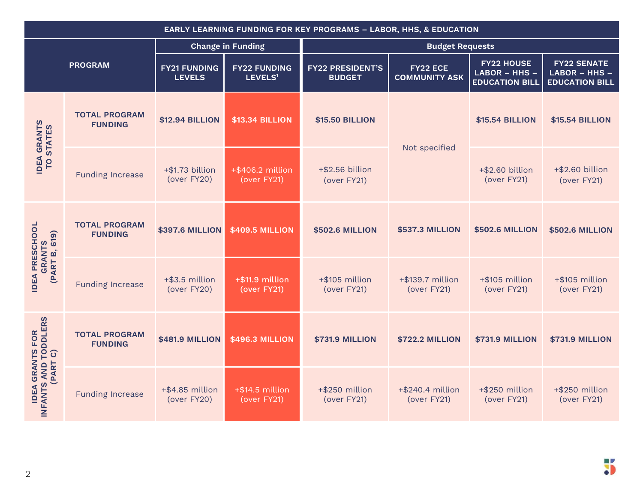| EARLY LEARNING FUNDING FOR KEY PROGRAMS - LABOR, HHS, & EDUCATION    |                                        |                                      |                                            |                                          |                                         |                                                             |                                                              |  |
|----------------------------------------------------------------------|----------------------------------------|--------------------------------------|--------------------------------------------|------------------------------------------|-----------------------------------------|-------------------------------------------------------------|--------------------------------------------------------------|--|
| <b>PROGRAM</b>                                                       |                                        | <b>Change in Funding</b>             |                                            | <b>Budget Requests</b>                   |                                         |                                                             |                                                              |  |
|                                                                      |                                        | <b>FY21 FUNDING</b><br><b>LEVELS</b> | <b>FY22 FUNDING</b><br>LEVELS <sup>1</sup> | <b>FY22 PRESIDENT'S</b><br><b>BUDGET</b> | <b>FY22 ECE</b><br><b>COMMUNITY ASK</b> | <b>FY22 HOUSE</b><br>LABOR - HHS -<br><b>EDUCATION BILL</b> | <b>FY22 SENATE</b><br>LABOR - HHS -<br><b>EDUCATION BILL</b> |  |
| <b>IDEA GRANTS</b><br><b>TO STATES</b>                               | <b>TOTAL PROGRAM</b><br><b>FUNDING</b> | <b>\$12.94 BILLION</b>               | <b>\$13.34 BILLION</b>                     | <b>\$15.50 BILLION</b>                   | Not specified                           | <b>\$15.54 BILLION</b>                                      | <b>\$15.54 BILLION</b>                                       |  |
|                                                                      | <b>Funding Increase</b>                | +\$1.73 billion<br>(over FY20)       | +\$406.2 million<br>(over FY21)            | +\$2.56 billion<br>(over FY21)           |                                         | +\$2.60 billion<br>(over FY21)                              | +\$2.60 billion<br>(over FY21)                               |  |
| PRESCHOOL<br><b>GRANTS<br/>(PART B, 619)</b><br><b>IDEA</b>          | <b>TOTAL PROGRAM</b><br><b>FUNDING</b> | <b>\$397.6 MILLION</b>               | <b>\$409.5 MILLION</b>                     | <b>\$502.6 MILLION</b>                   | <b>\$537.3 MILLION</b>                  | <b>\$502.6 MILLION</b>                                      | <b>\$502.6 MILLION</b>                                       |  |
|                                                                      | <b>Funding Increase</b>                | +\$3.5 million<br>(over FY20)        | +\$11.9 million<br>(over FY21)             | +\$105 million<br>(over FY21)            | +\$139.7 million<br>(over FY21)         | +\$105 million<br>(over FY21)                               | +\$105 million<br>(over FY21)                                |  |
| INFANTS AND TODDLERS<br>(PART C)<br><b>GRANTS FOR</b><br><b>IDEA</b> | <b>TOTAL PROGRAM</b><br><b>FUNDING</b> | <b>\$481.9 MILLION</b>               | <b>\$496.3 MILLION</b>                     | <b>\$731.9 MILLION</b>                   | <b>\$722.2 MILLION</b>                  | <b>\$731.9 MILLION</b>                                      | <b>\$731.9 MILLION</b>                                       |  |
|                                                                      | <b>Funding Increase</b>                | +\$4.85 million<br>(over FY20)       | $+$ \$14.5 million<br>(over FY21)          | +\$250 million<br>(over FY21)            | +\$240.4 million<br>(over FY21)         | +\$250 million<br>(over FY21)                               | +\$250 million<br>(over FY21)                                |  |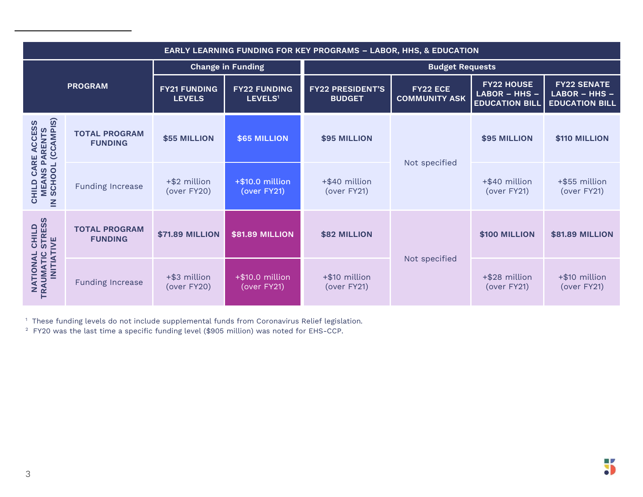| <b>EARLY LEARNING FUNDING FOR KEY PROGRAMS - LABOR, HHS, &amp; EDUCATION</b>   |                                        |                                      |                                            |                                          |                                         |                                                               |                                                              |  |
|--------------------------------------------------------------------------------|----------------------------------------|--------------------------------------|--------------------------------------------|------------------------------------------|-----------------------------------------|---------------------------------------------------------------|--------------------------------------------------------------|--|
| <b>PROGRAM</b>                                                                 |                                        | <b>Change in Funding</b>             |                                            | <b>Budget Requests</b>                   |                                         |                                                               |                                                              |  |
|                                                                                |                                        | <b>FY21 FUNDING</b><br><b>LEVELS</b> | <b>FY22 FUNDING</b><br>LEVELS <sup>1</sup> | <b>FY22 PRESIDENT'S</b><br><b>BUDGET</b> | <b>FY22 ECE</b><br><b>COMMUNITY ASK</b> | <b>FY22 HOUSE</b><br>$LABOR - HHS -$<br><b>EDUCATION BILL</b> | <b>FY22 SENATE</b><br>LABOR - HHS -<br><b>EDUCATION BILL</b> |  |
| CARE ACCESS<br>S PARENTS<br>OL (CCAMPIS)<br>MEANS P.<br><b>CHILD</b><br>$\leq$ | <b>TOTAL PROGRAM</b><br><b>FUNDING</b> | \$55 MILLION                         | \$65 MILLION                               | <b>\$95 MILLION</b>                      | Not specified                           | \$95 MILLION                                                  | \$110 MILLION                                                |  |
|                                                                                | <b>Funding Increase</b>                | +\$2 million<br>(over FY20)          | +\$10.0 million<br>(over FY21)             | +\$40 million<br>(over FY21)             |                                         | +\$40 million<br>(over FY21)                                  | +\$55 million<br>(over FY21)                                 |  |
| <b>STRESS</b><br>CHILD<br>IVE<br><b>INITIAT</b><br>NATIONAL<br>TRAUMATIC       | <b>TOTAL PROGRAM</b><br><b>FUNDING</b> | <b>\$71.89 MILLION</b>               | <b>\$81.89 MILLION</b>                     | \$82 MILLION                             | Not specified                           | \$100 MILLION                                                 | <b>\$81.89 MILLION</b>                                       |  |
|                                                                                | <b>Funding Increase</b>                | +\$3 million<br>(over FY20)          | +\$10.0 million<br>(over FY21)             | +\$10 million<br>(over FY21)             |                                         | +\$28 million<br>(over FY21)                                  | +\$10 million<br>(over FY21)                                 |  |

<sup>1</sup> These funding levels do not include supplemental funds from Coronavirus Relief legislation.

 $^{\rm 2}$  FY20 was the last time a specific funding level (\$905 million) was noted for EHS-CCP.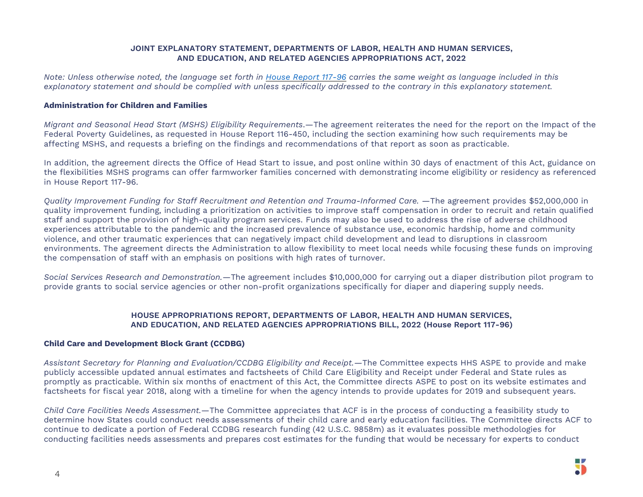### **JOINT EXPLANATORY STATEMENT, DEPARTMENTS OF LABOR, HEALTH AND HUMAN SERVICES, AND EDUCATION, AND RELATED AGENCIES APPROPRIATIONS ACT, 2022**

Note: Unless otherwise noted, the language set forth in House [Report](https://www.congress.gov/117/crpt/hrpt96/CRPT-117hrpt96.pdf) 117-96 carries the same weight as language included in this explanatory statement and should be complied with unless specifically addressed to the contrary in this explanatory statement.

### **Administration for Children and Families**

*Migrant and Seasonal Head Start (MSHS) Eligibility Requirements*.—The agreement reiterates the need for the report on the Impact of the Federal Poverty Guidelines, as requested in House Report 116-450, including the section examining how such requirements may be affecting MSHS, and requests a briefing on the findings and recommendations of that report as soon as practicable.

In addition, the agreement directs the Office of Head Start to issue, and post online within 30 days of enactment of this Act, guidance on the flexibilities MSHS programs can offer farmworker families concerned with demonstrating income eligibility or residency as referenced in House Report 117-96.

*Quality Improvement Funding for Staff Recruitment and Retention and Trauma-Informed Care.* —The agreement provides \$52,000,000 in quality improvement funding, including a prioritization on activities to improve staff compensation in order to recruit and retain qualified staff and support the provision of high-quality program services. Funds may also be used to address the rise of adverse childhood experiences attributable to the pandemic and the increased prevalence of substance use, economic hardship, home and community violence, and other traumatic experiences that can negatively impact child development and lead to disruptions in classroom environments. The agreement directs the Administration to allow flexibility to meet local needs while focusing these funds on improving the compensation of staff with an emphasis on positions with high rates of turnover.

*Social Services Research and Demonstration.*—The agreement includes \$10,000,000 for carrying out a diaper distribution pilot program to provide grants to social service agencies or other non-profit organizations specifically for diaper and diapering supply needs.

### **HOUSE APPROPRIATIONS REPORT, DEPARTMENTS OF LABOR, HEALTH AND HUMAN SERVICES, AND EDUCATION, AND RELATED AGENCIES APPROPRIATIONS BILL, 2022 (House Report 117-96)**

# **Child Care and Development Block Grant (CCDBG)**

*Assistant Secretary for Planning and Evaluation/CCDBG Eligibility and Receipt.—*The Committee expects HHS ASPE to provide and make publicly accessible updated annual estimates and factsheets of Child Care Eligibility and Receipt under Federal and State rules as promptly as practicable. Within six months of enactment of this Act, the Committee directs ASPE to post on its website estimates and factsheets for fiscal year 2018, along with a timeline for when the agency intends to provide updates for 2019 and subsequent years.

*Child Care Facilities Needs Assessment.*—The Committee appreciates that ACF is in the process of conducting a feasibility study to determine how States could conduct needs assessments of their child care and early education facilities. The Committee directs ACF to continue to dedicate a portion of Federal CCDBG research funding (42 U.S.C. 9858m) as it evaluates possible methodologies for conducting facilities needs assessments and prepares cost estimates for the funding that would be necessary for experts to conduct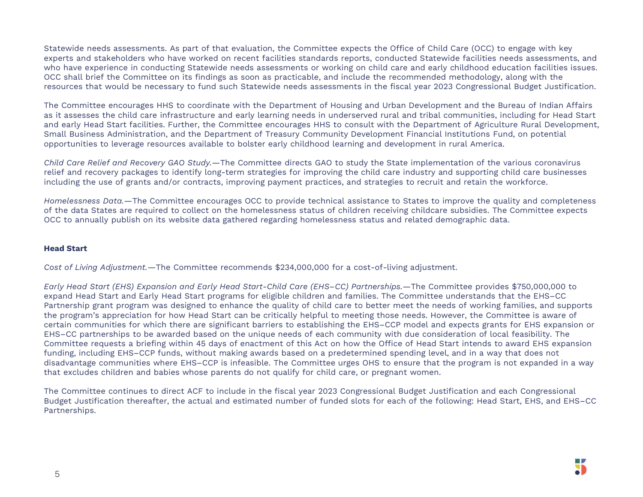Statewide needs assessments. As part of that evaluation, the Committee expects the Office of Child Care (OCC) to engage with key experts and stakeholders who have worked on recent facilities standards reports, conducted Statewide facilities needs assessments, and who have experience in conducting Statewide needs assessments or working on child care and early childhood education facilities issues. OCC shall brief the Committee on its findings as soon as practicable, and include the recommended methodology, along with the resources that would be necessary to fund such Statewide needs assessments in the fiscal year 2023 Congressional Budget Justification.

The Committee encourages HHS to coordinate with the Department of Housing and Urban Development and the Bureau of Indian Affairs as it assesses the child care infrastructure and early learning needs in underserved rural and tribal communities, including for Head Start and early Head Start facilities. Further, the Committee encourages HHS to consult with the Department of Agriculture Rural Development, Small Business Administration, and the Department of Treasury Community Development Financial Institutions Fund, on potential opportunities to leverage resources available to bolster early childhood learning and development in rural America.

*Child Care Relief and Recovery GAO Study.*—The Committee directs GAO to study the State implementation of the various coronavirus relief and recovery packages to identify long-term strategies for improving the child care industry and supporting child care businesses including the use of grants and/or contracts, improving payment practices, and strategies to recruit and retain the workforce.

*Homelessness Data.*—The Committee encourages OCC to provide technical assistance to States to improve the quality and completeness of the data States are required to collect on the homelessness status of children receiving childcare subsidies. The Committee expects OCC to annually publish on its website data gathered regarding homelessness status and related demographic data.

### **Head Start**

*Cost of Living Adjustment.*—The Committee recommends \$234,000,000 for a cost-of-living adjustment.

*Early Head Start (EHS) Expansion and Early Head Start-Child Care (EHS–CC) Partnerships.*—The Committee provides \$750,000,000 to expand Head Start and Early Head Start programs for eligible children and families. The Committee understands that the EHS–CC Partnership grant program was designed to enhance the quality of child care to better meet the needs of working families, and supports the program's appreciation for how Head Start can be critically helpful to meeting those needs. However, the Committee is aware of certain communities for which there are significant barriers to establishing the EHS–CCP model and expects grants for EHS expansion or EHS–CC partnerships to be awarded based on the unique needs of each community with due consideration of local feasibility. The Committee requests a briefing within 45 days of enactment of this Act on how the Office of Head Start intends to award EHS expansion funding, including EHS–CCP funds, without making awards based on a predetermined spending level, and in a way that does not disadvantage communities where EHS–CCP is infeasible. The Committee urges OHS to ensure that the program is not expanded in a way that excludes children and babies whose parents do not qualify for child care, or pregnant women.

The Committee continues to direct ACF to include in the fiscal year 2023 Congressional Budget Justification and each Congressional Budget Justification thereafter, the actual and estimated number of funded slots for each of the following: Head Start, EHS, and EHS–CC Partnerships.